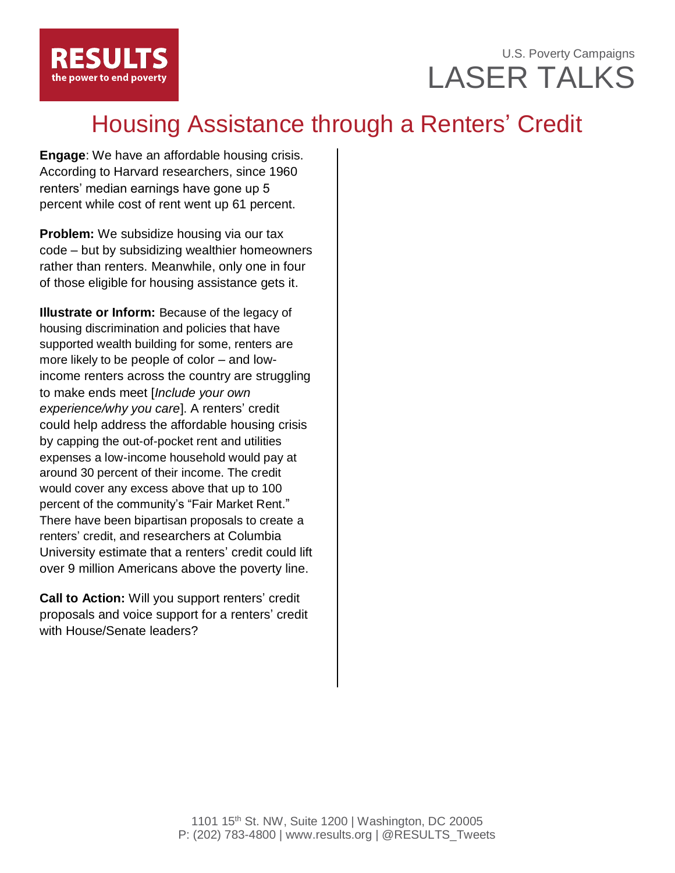### U.S. Poverty Campaigns LASER TALKS

# Housing Assistance through a Renters' Credit

**Engage**: We have an affordable housing crisis. According to Harvard researchers, since 1960 renters' median earnings have gone up 5 percent while cost of rent went up 61 percent.

**Problem:** We subsidize housing via our tax code – but by subsidizing wealthier homeowners rather than renters. Meanwhile, only one in four of those eligible for housing assistance gets it.

**Illustrate or Inform:** Because of the legacy of housing discrimination and policies that have supported wealth building for some, renters are more likely to be people of color – and lowincome renters across the country are struggling to make ends meet [*Include your own experience/why you care*]. A renters' credit could help address the affordable housing crisis by capping the out-of-pocket rent and utilities expenses a low-income household would pay at around 30 percent of their income. The credit would cover any excess above that up to 100 percent of the community's "Fair Market Rent." There have been bipartisan proposals to create a renters' credit, and researchers at Columbia University estimate that a renters' credit could lift over 9 million Americans above the poverty line.

**Call to Action:** Will you support renters' credit proposals and voice support for a renters' credit with House/Senate leaders?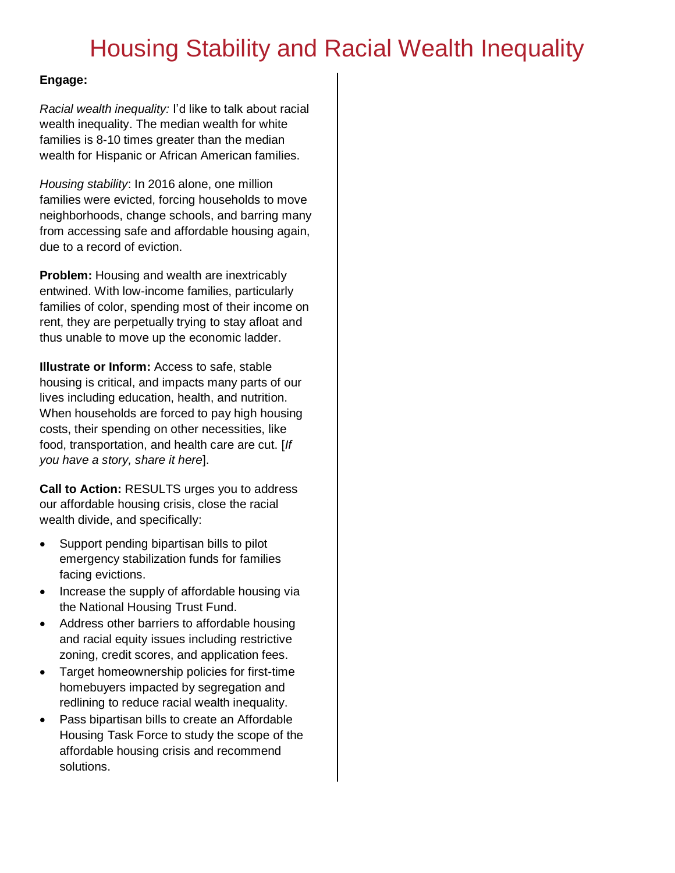## Housing Stability and Racial Wealth Inequality

#### **Engage:**

*Racial wealth inequality:* I'd like to talk about racial wealth inequality. The median wealth for white families is 8-10 times greater than the median wealth for Hispanic or African American families.

*Housing stability*: In 2016 alone, one million families were evicted, forcing households to move neighborhoods, change schools, and barring many from accessing safe and affordable housing again, due to a record of eviction.

**Problem:** Housing and wealth are inextricably entwined. With low-income families, particularly families of color, spending most of their income on rent, they are perpetually trying to stay afloat and thus unable to move up the economic ladder.

**Illustrate or Inform:** Access to safe, stable housing is critical, and impacts many parts of our lives including education, health, and nutrition. When households are forced to pay high housing costs, their spending on other necessities, like food, transportation, and health care are cut. [*If you have a story, share it here*].

**Call to Action:** RESULTS urges you to address our affordable housing crisis, close the racial wealth divide, and specifically:

- Support pending bipartisan bills to pilot emergency stabilization funds for families facing evictions.
- Increase the supply of affordable housing via the National Housing Trust Fund.
- Address other barriers to affordable housing and racial equity issues including restrictive zoning, credit scores, and application fees.
- Target homeownership policies for first-time homebuyers impacted by segregation and redlining to reduce racial wealth inequality.
- Pass bipartisan bills to create an Affordable Housing Task Force to study the scope of the affordable housing crisis and recommend solutions.